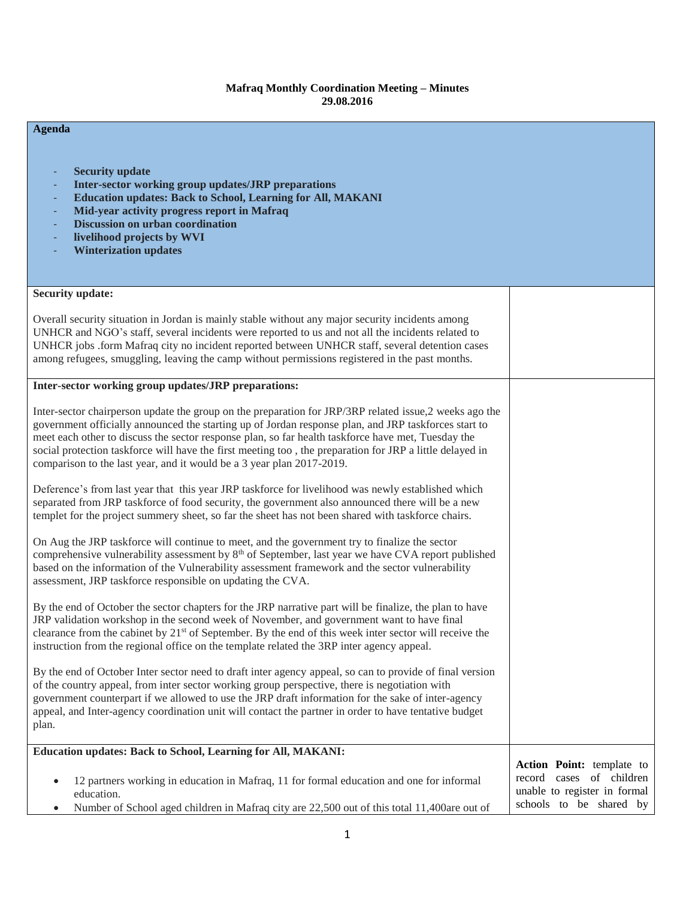## **Mafraq Monthly Coordination Meeting – Minutes 29.08.2016**

| <b>Agenda</b>                                                                                                                                                                                                                                                                                                                                                                                                                                                                                             |                                                                                                                  |
|-----------------------------------------------------------------------------------------------------------------------------------------------------------------------------------------------------------------------------------------------------------------------------------------------------------------------------------------------------------------------------------------------------------------------------------------------------------------------------------------------------------|------------------------------------------------------------------------------------------------------------------|
| <b>Security update</b><br>Inter-sector working group updates/JRP preparations<br><b>Education updates: Back to School, Learning for All, MAKANI</b><br>Mid-year activity progress report in Mafraq<br><b>Discussion on urban coordination</b><br>livelihood projects by WVI<br><b>Winterization updates</b>                                                                                                                                                                                               |                                                                                                                  |
| <b>Security update:</b>                                                                                                                                                                                                                                                                                                                                                                                                                                                                                   |                                                                                                                  |
| Overall security situation in Jordan is mainly stable without any major security incidents among<br>UNHCR and NGO's staff, several incidents were reported to us and not all the incidents related to<br>UNHCR jobs .form Mafraq city no incident reported between UNHCR staff, several detention cases<br>among refugees, smuggling, leaving the camp without permissions registered in the past months.                                                                                                 |                                                                                                                  |
| Inter-sector working group updates/JRP preparations:                                                                                                                                                                                                                                                                                                                                                                                                                                                      |                                                                                                                  |
| Inter-sector chairperson update the group on the preparation for JRP/3RP related issue,2 weeks ago the<br>government officially announced the starting up of Jordan response plan, and JRP taskforces start to<br>meet each other to discuss the sector response plan, so far health taskforce have met, Tuesday the<br>social protection taskforce will have the first meeting too, the preparation for JRP a little delayed in<br>comparison to the last year, and it would be a 3 year plan 2017-2019. |                                                                                                                  |
| Deference's from last year that this year JRP taskforce for livelihood was newly established which<br>separated from JRP taskforce of food security, the government also announced there will be a new<br>templet for the project summery sheet, so far the sheet has not been shared with taskforce chairs.                                                                                                                                                                                              |                                                                                                                  |
| On Aug the JRP taskforce will continue to meet, and the government try to finalize the sector<br>comprehensive vulnerability assessment by $8th$ of September, last year we have CVA report published<br>based on the information of the Vulnerability assessment framework and the sector vulnerability<br>assessment, JRP taskforce responsible on updating the CVA.                                                                                                                                    |                                                                                                                  |
| By the end of October the sector chapters for the JRP narrative part will be finalize, the plan to have<br>JRP validation workshop in the second week of November, and government want to have final<br>clearance from the cabinet by 21 <sup>st</sup> of September. By the end of this week inter sector will receive the<br>instruction from the regional office on the template related the 3RP inter agency appeal.                                                                                   |                                                                                                                  |
| By the end of October Inter sector need to draft inter agency appeal, so can to provide of final version<br>of the country appeal, from inter sector working group perspective, there is negotiation with<br>government counterpart if we allowed to use the JRP draft information for the sake of inter-agency<br>appeal, and Inter-agency coordination unit will contact the partner in order to have tentative budget<br>plan.                                                                         |                                                                                                                  |
| <b>Education updates: Back to School, Learning for All, MAKANI:</b>                                                                                                                                                                                                                                                                                                                                                                                                                                       |                                                                                                                  |
| 12 partners working in education in Mafraq, 11 for formal education and one for informal<br>$\bullet$<br>education.<br>Number of School aged children in Mafraq city are 22,500 out of this total 11,400are out of<br>$\bullet$                                                                                                                                                                                                                                                                           | Action Point: template to<br>record cases of children<br>unable to register in formal<br>schools to be shared by |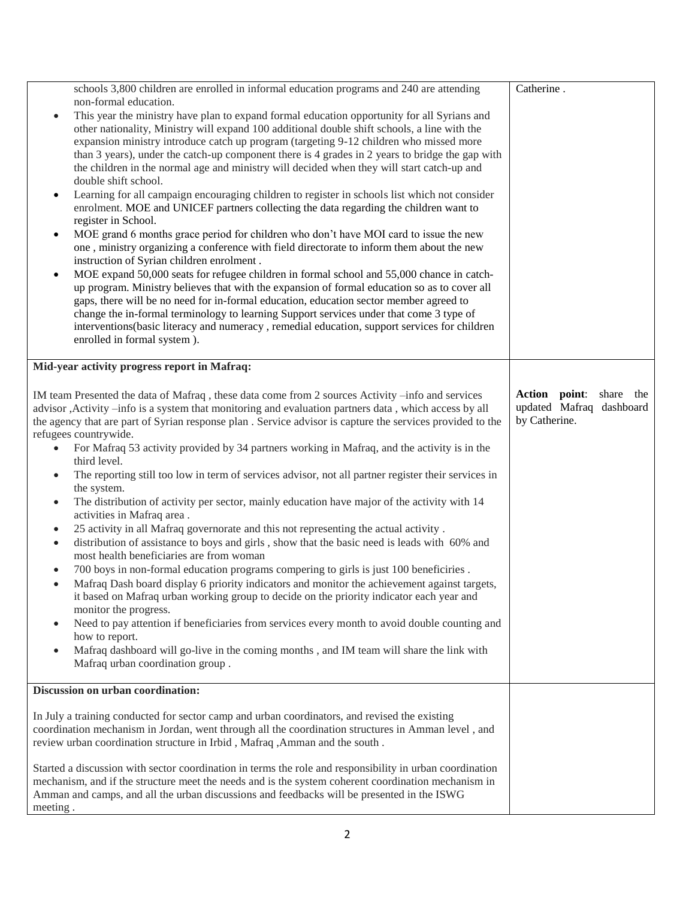|                                                                                                     | schools 3,800 children are enrolled in informal education programs and 240 are attending                                                                                                                            | Catherine.                                             |
|-----------------------------------------------------------------------------------------------------|---------------------------------------------------------------------------------------------------------------------------------------------------------------------------------------------------------------------|--------------------------------------------------------|
| $\bullet$                                                                                           | non-formal education.<br>This year the ministry have plan to expand formal education opportunity for all Syrians and                                                                                                |                                                        |
|                                                                                                     | other nationality, Ministry will expand 100 additional double shift schools, a line with the                                                                                                                        |                                                        |
|                                                                                                     | expansion ministry introduce catch up program (targeting 9-12 children who missed more                                                                                                                              |                                                        |
|                                                                                                     | than 3 years), under the catch-up component there is 4 grades in 2 years to bridge the gap with                                                                                                                     |                                                        |
|                                                                                                     | the children in the normal age and ministry will decided when they will start catch-up and                                                                                                                          |                                                        |
|                                                                                                     | double shift school.                                                                                                                                                                                                |                                                        |
| ٠                                                                                                   | Learning for all campaign encouraging children to register in schools list which not consider                                                                                                                       |                                                        |
|                                                                                                     | enrolment. MOE and UNICEF partners collecting the data regarding the children want to<br>register in School.                                                                                                        |                                                        |
| ٠                                                                                                   | MOE grand 6 months grace period for children who don't have MOI card to issue the new                                                                                                                               |                                                        |
|                                                                                                     | one, ministry organizing a conference with field directorate to inform them about the new                                                                                                                           |                                                        |
|                                                                                                     | instruction of Syrian children enrolment.                                                                                                                                                                           |                                                        |
| ٠                                                                                                   | MOE expand 50,000 seats for refugee children in formal school and 55,000 chance in catch-                                                                                                                           |                                                        |
|                                                                                                     | up program. Ministry believes that with the expansion of formal education so as to cover all                                                                                                                        |                                                        |
|                                                                                                     | gaps, there will be no need for in-formal education, education sector member agreed to                                                                                                                              |                                                        |
|                                                                                                     | change the in-formal terminology to learning Support services under that come 3 type of                                                                                                                             |                                                        |
|                                                                                                     | interventions(basic literacy and numeracy, remedial education, support services for children<br>enrolled in formal system).                                                                                         |                                                        |
|                                                                                                     |                                                                                                                                                                                                                     |                                                        |
|                                                                                                     | Mid-year activity progress report in Mafraq:                                                                                                                                                                        |                                                        |
|                                                                                                     |                                                                                                                                                                                                                     |                                                        |
|                                                                                                     | IM team Presented the data of Mafraq, these data come from 2 sources Activity -info and services                                                                                                                    | Action point:<br>share the<br>updated Mafraq dashboard |
|                                                                                                     | advisor , Activity -info is a system that monitoring and evaluation partners data, which access by all<br>the agency that are part of Syrian response plan. Service advisor is capture the services provided to the | by Catherine.                                          |
|                                                                                                     | refugees countrywide.                                                                                                                                                                                               |                                                        |
|                                                                                                     | For Mafraq 53 activity provided by 34 partners working in Mafraq, and the activity is in the                                                                                                                        |                                                        |
|                                                                                                     | third level.                                                                                                                                                                                                        |                                                        |
| ٠                                                                                                   | The reporting still too low in term of services advisor, not all partner register their services in                                                                                                                 |                                                        |
|                                                                                                     | the system.                                                                                                                                                                                                         |                                                        |
| $\bullet$                                                                                           | The distribution of activity per sector, mainly education have major of the activity with 14<br>activities in Mafraq area.                                                                                          |                                                        |
| ٠                                                                                                   | 25 activity in all Mafraq governorate and this not representing the actual activity.                                                                                                                                |                                                        |
| $\bullet$                                                                                           | distribution of assistance to boys and girls, show that the basic need is leads with 60% and                                                                                                                        |                                                        |
|                                                                                                     | most health beneficiaries are from woman<br>700 boys in non-formal education programs compering to girls is just 100 beneficiries.                                                                                  |                                                        |
| ٠                                                                                                   | Mafraq Dash board display 6 priority indicators and monitor the achievement against targets,                                                                                                                        |                                                        |
|                                                                                                     | it based on Mafraq urban working group to decide on the priority indicator each year and                                                                                                                            |                                                        |
|                                                                                                     | monitor the progress.                                                                                                                                                                                               |                                                        |
|                                                                                                     | Need to pay attention if beneficiaries from services every month to avoid double counting and                                                                                                                       |                                                        |
|                                                                                                     | how to report.                                                                                                                                                                                                      |                                                        |
|                                                                                                     | Mafraq dashboard will go-live in the coming months, and IM team will share the link with                                                                                                                            |                                                        |
|                                                                                                     | Mafraq urban coordination group.                                                                                                                                                                                    |                                                        |
|                                                                                                     | Discussion on urban coordination:                                                                                                                                                                                   |                                                        |
|                                                                                                     |                                                                                                                                                                                                                     |                                                        |
|                                                                                                     | In July a training conducted for sector camp and urban coordinators, and revised the existing                                                                                                                       |                                                        |
|                                                                                                     | coordination mechanism in Jordan, went through all the coordination structures in Amman level, and                                                                                                                  |                                                        |
|                                                                                                     | review urban coordination structure in Irbid, Mafraq, Amman and the south.                                                                                                                                          |                                                        |
|                                                                                                     | Started a discussion with sector coordination in terms the role and responsibility in urban coordination                                                                                                            |                                                        |
| mechanism, and if the structure meet the needs and is the system coherent coordination mechanism in |                                                                                                                                                                                                                     |                                                        |
| Amman and camps, and all the urban discussions and feedbacks will be presented in the ISWG          |                                                                                                                                                                                                                     |                                                        |
| meeting.                                                                                            |                                                                                                                                                                                                                     |                                                        |